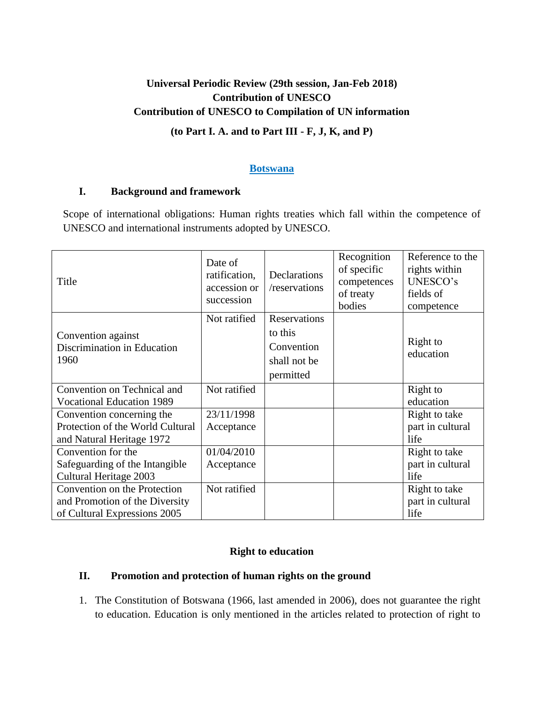# **Universal Periodic Review (29th session, Jan-Feb 2018) Contribution of UNESCO Contribution of UNESCO to Compilation of UN information**

# **(to Part I. A. and to Part III - F, J, K, and P)**

#### **Botswana**

#### **I. Background and framework**

Scope of international obligations: Human rights treaties which fall within the competence of UNESCO and international instruments adopted by UNESCO.

| Title                                                                                          | Date of<br>ratification,<br>accession or<br>succession | Declarations<br>/reservations                                      | Recognition<br>of specific<br>competences<br>of treaty<br>bodies | Reference to the<br>rights within<br>UNESCO's<br>fields of<br>competence |
|------------------------------------------------------------------------------------------------|--------------------------------------------------------|--------------------------------------------------------------------|------------------------------------------------------------------|--------------------------------------------------------------------------|
| Convention against<br>Discrimination in Education<br>1960                                      | Not ratified                                           | Reservations<br>to this<br>Convention<br>shall not be<br>permitted |                                                                  | Right to<br>education                                                    |
| Convention on Technical and<br><b>Vocational Education 1989</b>                                | Not ratified                                           |                                                                    |                                                                  | Right to<br>education                                                    |
| Convention concerning the<br>Protection of the World Cultural<br>and Natural Heritage 1972     | 23/11/1998<br>Acceptance                               |                                                                    |                                                                  | Right to take<br>part in cultural<br>life                                |
| Convention for the<br>Safeguarding of the Intangible<br>Cultural Heritage 2003                 | 01/04/2010<br>Acceptance                               |                                                                    |                                                                  | Right to take<br>part in cultural<br>life                                |
| Convention on the Protection<br>and Promotion of the Diversity<br>of Cultural Expressions 2005 | Not ratified                                           |                                                                    |                                                                  | Right to take<br>part in cultural<br>life                                |

# **Right to education**

# **II. Promotion and protection of human rights on the ground**

1. The Constitution of Botswana (1966, last amended in 2006), does not guarantee the right to education. Education is only mentioned in the articles related to protection of right to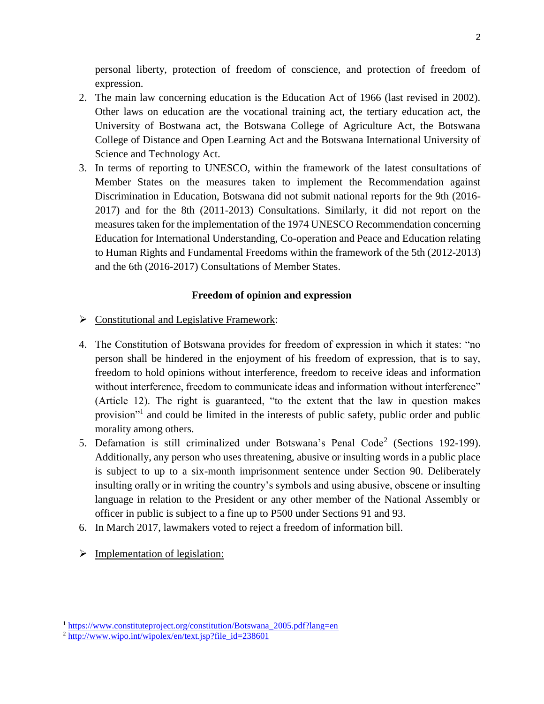personal liberty, protection of freedom of conscience, and protection of freedom of expression.

- 2. The main law concerning education is the Education Act of 1966 (last revised in 2002). Other laws on education are the vocational training act, the tertiary education act, the University of Bostwana act, the Botswana College of Agriculture Act, the Botswana College of Distance and Open Learning Act and the Botswana International University of Science and Technology Act.
- 3. In terms of reporting to UNESCO, within the framework of the latest consultations of Member States on the measures taken to implement the Recommendation against Discrimination in Education, Botswana did not submit national reports for the 9th (2016- 2017) and for the 8th (2011-2013) Consultations. Similarly, it did not report on the measures taken for the implementation of the 1974 UNESCO Recommendation concerning Education for International Understanding, Co-operation and Peace and Education relating to Human Rights and Fundamental Freedoms within the framework of the 5th (2012-2013) and the 6th (2016-2017) Consultations of Member States.

# **Freedom of opinion and expression**

- $\triangleright$  Constitutional and Legislative Framework:
- 4. The Constitution of Botswana provides for freedom of expression in which it states: "no person shall be hindered in the enjoyment of his freedom of expression, that is to say, freedom to hold opinions without interference, freedom to receive ideas and information without interference, freedom to communicate ideas and information without interference" (Article 12). The right is guaranteed, "to the extent that the law in question makes provision"<sup>1</sup> and could be limited in the interests of public safety, public order and public morality among others.
- 5. Defamation is still criminalized under Botswana's Penal Code<sup>2</sup> (Sections 192-199). Additionally, any person who uses threatening, abusive or insulting words in a public place is subject to up to a six-month imprisonment sentence under Section 90. Deliberately insulting orally or in writing the country's symbols and using abusive, obscene or insulting language in relation to the President or any other member of the National Assembly or officer in public is subject to a fine up to P500 under Sections 91 and 93.
- 6. In March 2017, lawmakers voted to reject a freedom of information bill.
- $\triangleright$  Implementation of legislation:

l

<sup>&</sup>lt;sup>1</sup> [https://www.constituteproject.org/constitution/Botswana\\_2005.pdf?lang=en](https://www.constituteproject.org/constitution/Botswana_2005.pdf?lang=en)

 $2 \frac{\text{http://www.wipo.int/wipolex/en/text.jsp?file} \cdot id=238601}{\text{http://www.wipo.int/wipolex/en/text.jsp?file} \cdot id=238601}$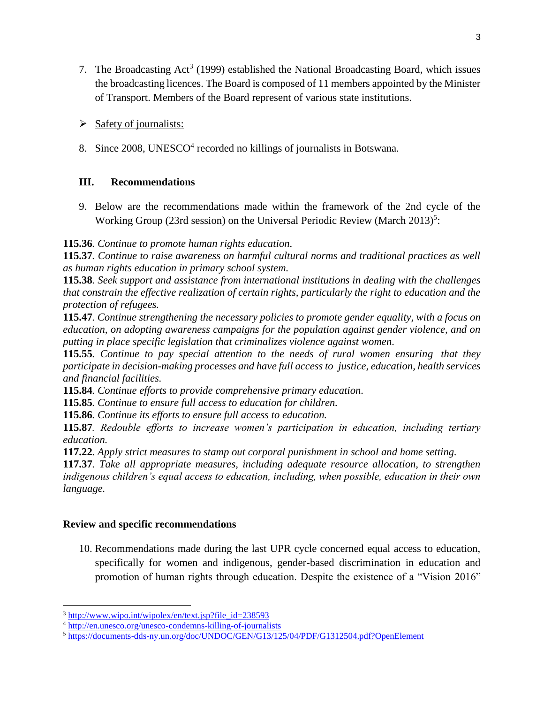- 7. The Broadcasting  $Act^3$  (1999) established the National Broadcasting Board, which issues the broadcasting licences. The Board is composed of 11 members appointed by the Minister of Transport. Members of the Board represent of various state institutions.
- $\triangleright$  Safety of journalists:
- 8. Since 2008, UNESCO<sup>4</sup> recorded no killings of journalists in Botswana.

# **III. Recommendations**

9. Below are the recommendations made within the framework of the 2nd cycle of the Working Group (23rd session) on the Universal Periodic Review (March 2013)<sup>5</sup>:

**115.36***. Continue to promote human rights education.*

**115.37***. Continue to raise awareness on harmful cultural norms and traditional practices as well as human rights education in primary school system.*

**115.38***. Seek support and assistance from international institutions in dealing with the challenges that constrain the effective realization of certain rights, particularly the right to education and the protection of refugees.*

**115.47***. Continue strengthening the necessary policies to promote gender equality, with a focus on education, on adopting awareness campaigns for the population against gender violence, and on putting in place specific legislation that criminalizes violence against women.*

**115.55***. Continue to pay special attention to the needs of rural women ensuring that they participate in decision-making processes and have full access to justice, education, health services and financial facilities.*

**115.84***. Continue efforts to provide comprehensive primary education.*

**115.85***. Continue to ensure full access to education for children.*

**115.86***. Continue its efforts to ensure full access to education.*

**115.87***. Redouble efforts to increase women's participation in education, including tertiary education.*

**117.22***. Apply strict measures to stamp out corporal punishment in school and home setting.*

**117.37***. Take all appropriate measures, including adequate resource allocation, to strengthen indigenous children's equal access to education, including, when possible, education in their own language.*

# **Review and specific recommendations**

 $\overline{\phantom{a}}$ 

10. Recommendations made during the last UPR cycle concerned equal access to education, specifically for women and indigenous, gender-based discrimination in education and promotion of human rights through education. Despite the existence of a "Vision 2016"

<sup>&</sup>lt;sup>3</sup> [http://www.wipo.int/wipolex/en/text.jsp?file\\_id=238593](http://www.wipo.int/wipolex/en/text.jsp?file_id=238593)

<sup>4</sup> <http://en.unesco.org/unesco-condemns-killing-of-journalists>

<sup>5</sup> <https://documents-dds-ny.un.org/doc/UNDOC/GEN/G13/125/04/PDF/G1312504.pdf?OpenElement>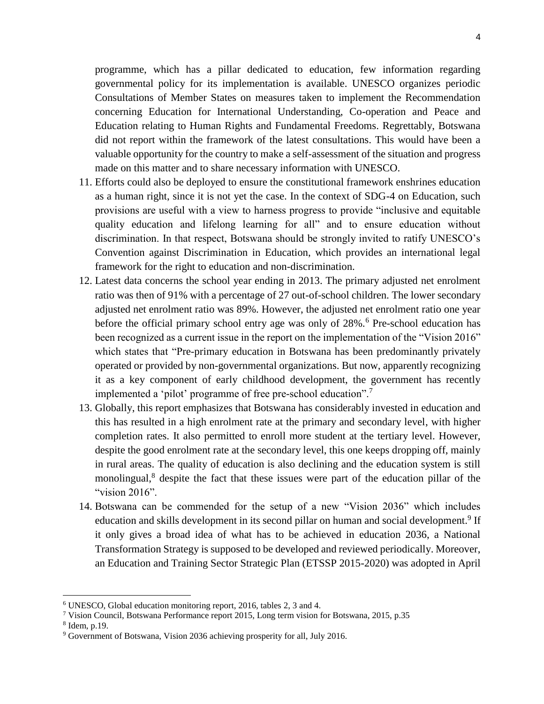programme, which has a pillar dedicated to education, few information regarding governmental policy for its implementation is available. UNESCO organizes periodic Consultations of Member States on measures taken to implement the Recommendation concerning Education for International Understanding, Co-operation and Peace and Education relating to Human Rights and Fundamental Freedoms. Regrettably, Botswana did not report within the framework of the latest consultations. This would have been a valuable opportunity for the country to make a self-assessment of the situation and progress made on this matter and to share necessary information with UNESCO.

- 11. Efforts could also be deployed to ensure the constitutional framework enshrines education as a human right, since it is not yet the case. In the context of SDG-4 on Education, such provisions are useful with a view to harness progress to provide "inclusive and equitable quality education and lifelong learning for all" and to ensure education without discrimination. In that respect, Botswana should be strongly invited to ratify UNESCO's Convention against Discrimination in Education, which provides an international legal framework for the right to education and non-discrimination.
- 12. Latest data concerns the school year ending in 2013. The primary adjusted net enrolment ratio was then of 91% with a percentage of 27 out-of-school children. The lower secondary adjusted net enrolment ratio was 89%. However, the adjusted net enrolment ratio one year before the official primary school entry age was only of 28%.<sup>6</sup> Pre-school education has been recognized as a current issue in the report on the implementation of the "Vision 2016" which states that "Pre-primary education in Botswana has been predominantly privately operated or provided by non-governmental organizations. But now, apparently recognizing it as a key component of early childhood development, the government has recently implemented a 'pilot' programme of free pre-school education".<sup>7</sup>
- 13. Globally, this report emphasizes that Botswana has considerably invested in education and this has resulted in a high enrolment rate at the primary and secondary level, with higher completion rates. It also permitted to enroll more student at the tertiary level. However, despite the good enrolment rate at the secondary level, this one keeps dropping off, mainly in rural areas. The quality of education is also declining and the education system is still monolingual,<sup>8</sup> despite the fact that these issues were part of the education pillar of the "vision 2016".
- 14. Botswana can be commended for the setup of a new "Vision 2036" which includes education and skills development in its second pillar on human and social development.<sup>9</sup> If it only gives a broad idea of what has to be achieved in education 2036, a National Transformation Strategy is supposed to be developed and reviewed periodically. Moreover, an Education and Training Sector Strategic Plan (ETSSP 2015-2020) was adopted in April

 $\overline{\phantom{a}}$ 

<sup>6</sup> UNESCO, Global education monitoring report, 2016, tables 2, 3 and 4.

<sup>7</sup> Vision Council, Botswana Performance report 2015, Long term vision for Botswana, 2015, p.35

<sup>8</sup> Idem, p.19.

<sup>9</sup> Government of Botswana, Vision 2036 achieving prosperity for all, July 2016.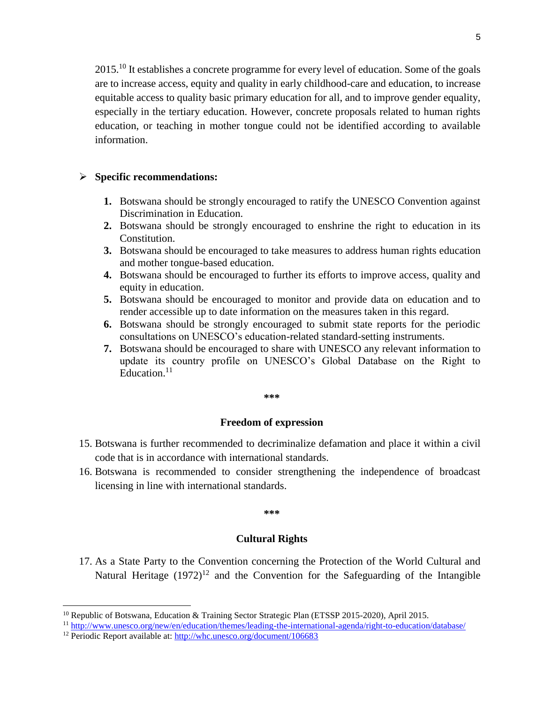2015.<sup>10</sup> It establishes a concrete programme for every level of education. Some of the goals are to increase access, equity and quality in early childhood-care and education, to increase equitable access to quality basic primary education for all, and to improve gender equality, especially in the tertiary education. However, concrete proposals related to human rights education, or teaching in mother tongue could not be identified according to available information.

#### **Specific recommendations:**

- **1.** Botswana should be strongly encouraged to ratify the UNESCO Convention against Discrimination in Education.
- **2.** Botswana should be strongly encouraged to enshrine the right to education in its Constitution.
- **3.** Botswana should be encouraged to take measures to address human rights education and mother tongue-based education.
- **4.** Botswana should be encouraged to further its efforts to improve access, quality and equity in education.
- **5.** Botswana should be encouraged to monitor and provide data on education and to render accessible up to date information on the measures taken in this regard.
- **6.** Botswana should be strongly encouraged to submit state reports for the periodic consultations on UNESCO's education-related standard-setting instruments.
- **7.** Botswana should be encouraged to share with UNESCO any relevant information to update its country profile on UNESCO's Global Database on the Right to Education.<sup>11</sup>

**\*\*\***

#### **Freedom of expression**

- 15. Botswana is further recommended to decriminalize defamation and place it within a civil code that is in accordance with international standards.
- 16. Botswana is recommended to consider strengthening the independence of broadcast licensing in line with international standards.

#### **\*\*\***

#### **Cultural Rights**

17. As a State Party to the Convention concerning the Protection of the World Cultural and Natural Heritage  $(1972)^{12}$  and the Convention for the Safeguarding of the Intangible

 $\overline{\phantom{a}}$ 

<sup>&</sup>lt;sup>10</sup> Republic of Botswana, Education & Training Sector Strategic Plan (ETSSP 2015-2020), April 2015.

<sup>11</sup> <http://www.unesco.org/new/en/education/themes/leading-the-international-agenda/right-to-education/database/>

<sup>&</sup>lt;sup>12</sup> Periodic Report available at: http://whc.unesco.org/document/106683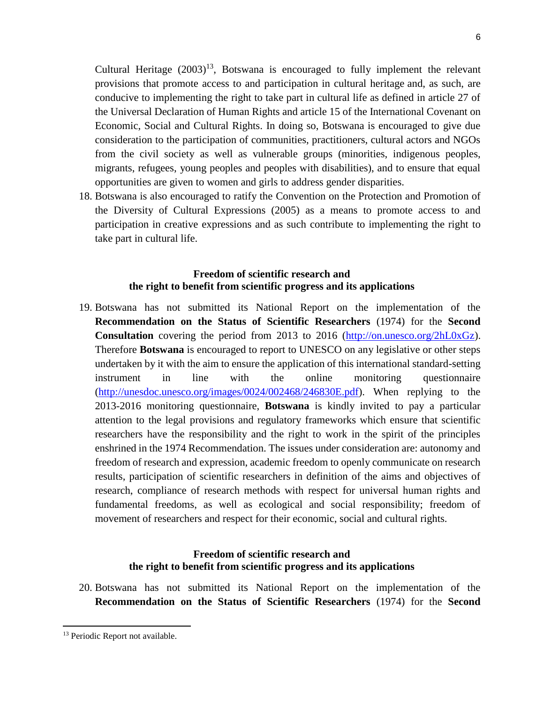Cultural Heritage  $(2003)^{13}$ , Botswana is encouraged to fully implement the relevant provisions that promote access to and participation in cultural heritage and, as such, are conducive to implementing the right to take part in cultural life as defined in article 27 of the Universal Declaration of Human Rights and article 15 of the International Covenant on Economic, Social and Cultural Rights. In doing so, Botswana is encouraged to give due consideration to the participation of communities, practitioners, cultural actors and NGOs from the civil society as well as vulnerable groups (minorities, indigenous peoples, migrants, refugees, young peoples and peoples with disabilities), and to ensure that equal opportunities are given to women and girls to address gender disparities.

18. Botswana is also encouraged to ratify the Convention on the Protection and Promotion of the Diversity of Cultural Expressions (2005) as a means to promote access to and participation in creative expressions and as such contribute to implementing the right to take part in cultural life.

## **Freedom of scientific research and the right to benefit from scientific progress and its applications**

19. Botswana has not submitted its National Report on the implementation of the **Recommendation on the Status of Scientific Researchers** (1974) for the **Second Consultation** covering the period from 2013 to 2016 [\(http://on.unesco.org/2hL0xGz\)](https://mail.unesco.org/owa/redir.aspx?C=RCVRlWmd4IyxP0xlwPW7nU5MKKtfg7Ek0gxa8PmIh6yZB_tcwD7UCA..&URL=http%3a%2f%2fon.unesco.org%2f2hL0xGz). Therefore **Botswana** is encouraged to report to UNESCO on any legislative or other steps undertaken by it with the aim to ensure the application of this international standard-setting instrument in line with the online monitoring questionnaire [\(http://unesdoc.unesco.org/images/0024/002468/246830E.pdf\)](https://mail.unesco.org/owa/redir.aspx?C=Jp8NJGvMIE1eP_zc1PYB9VEMRusMFWC-wSSb6VH9iBUVdk59yD7UCA..&URL=http%3a%2f%2funesdoc.unesco.org%2fimages%2f0024%2f002468%2f246830E.pdf). When replying to the 2013-2016 monitoring questionnaire, **Botswana** is kindly invited to pay a particular attention to the legal provisions and regulatory frameworks which ensure that scientific researchers have the responsibility and the right to work in the spirit of the principles enshrined in the 1974 Recommendation. The issues under consideration are: autonomy and freedom of research and expression, academic freedom to openly communicate on research results, participation of scientific researchers in definition of the aims and objectives of research, compliance of research methods with respect for universal human rights and fundamental freedoms, as well as ecological and social responsibility; freedom of movement of researchers and respect for their economic, social and cultural rights.

#### **Freedom of scientific research and the right to benefit from scientific progress and its applications**

20. Botswana has not submitted its National Report on the implementation of the **Recommendation on the Status of Scientific Researchers** (1974) for the **Second** 

 $\overline{\phantom{a}}$ 

<sup>&</sup>lt;sup>13</sup> Periodic Report not available.